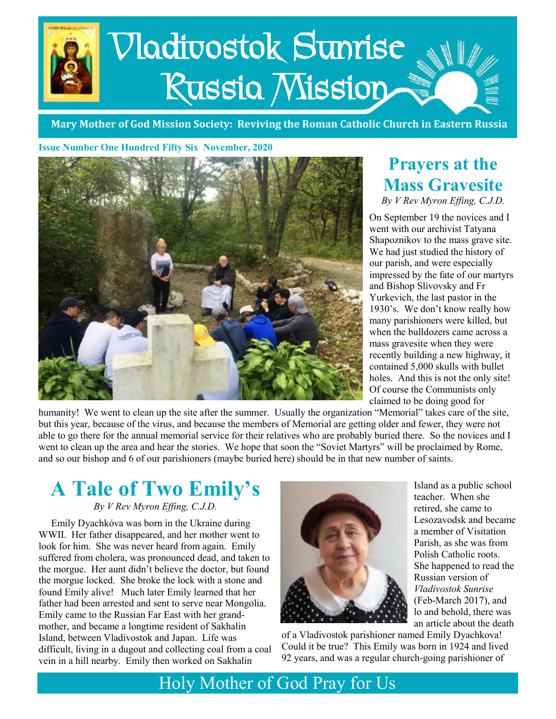# Vladivostok Sunrise Russia Mission

 **Mary Mother of God Mission Society: Reviving the Roman Catholic Church in Eastern Russia** 

#### **Issue Number One Hundred Fifty Six November, 2020**



# **Prayers at the Mass Gravesite**

*By V Rev Myron Effing, C.J.D.* 

On September 19 the novices and I went with our archivist Tatyana Shapoznikov to the mass grave site. We had just studied the history of our parish, and were especially impressed by the fate of our martyrs and Bishop Slivovsky and Fr Yurkevich, the last pastor in the 1930's. We don't know really how many parishioners were killed, but when the bulldozers came across a mass gravesite when they were recently building a new highway, it contained 5,000 skulls with bullet holes. And this is not the only site! Of course the Communists only claimed to be doing good for

humanity! We went to clean up the site after the summer. Usually the organization "Memorial" takes care of the site, but this year, because of the virus, and because the members of Memorial are getting older and fewer, they were not able to go there for the annual memorial service for their relatives who are probably buried there. So the novices and I went to clean up the area and hear the stories. We hope that soon the "Soviet Martyrs" will be proclaimed by Rome, and so our bishop and 6 of our parishioners (maybe buried here) should be in that new number of saints.

# **A Tale of Two Emily's**

### *By V Rev Myron Effing, C.J.D.*

 Emily Dyachkόva was born in the Ukraine during WWII. Her father disappeared, and her mother went to look for him. She was never heard from again. Emily suffered from cholera, was pronounced dead, and taken to the morgue. Her aunt didn't believe the doctor, but found the morgue locked. She broke the lock with a stone and found Emily alive! Much later Emily learned that her father had been arrested and sent to serve near Mongolia. Emily came to the Russian Far East with her grandmother, and became a longtime resident of Sakhalin Island, between Vladivostok and Japan. Life was difficult, living in a dugout and collecting coal from a coal vein in a hill nearby. Emily then worked on Sakhalin



Island as a public school teacher. When she retired, she came to Lesozavodsk and became a member of Visitation Parish, as she was from Polish Catholic roots. She happened to read the Russian version of *Vladivostok Sunrise* (Feb-March 2017), and lo and behold, there was an article about the death

of a Vladivostok parishioner named Emily Dyachkova! Could it be true? This Emily was born in 1924 and lived 92 years, and was a regular church-going parishioner of

## Holy Mother of God Pray for Us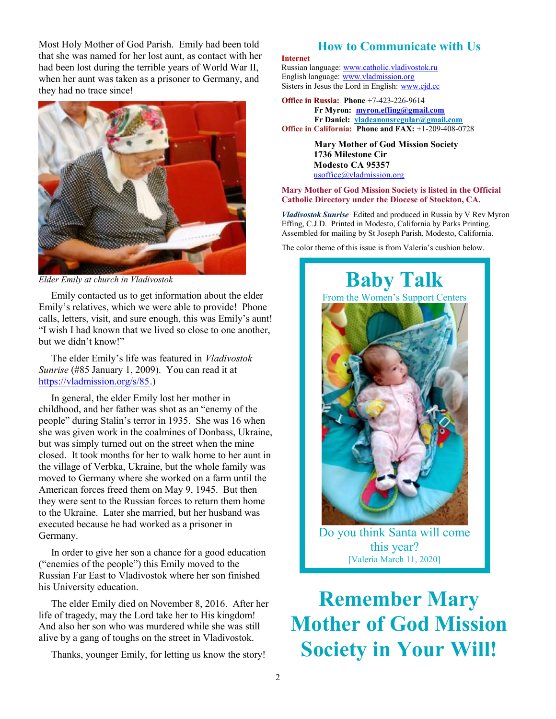Most Holy Mother of God Parish. Emily had been told that she was named for her lost aunt, as contact with her had been lost during the terrible years of World War II, when her aunt was taken as a prisoner to Germany, and they had no trace since!



*Elder Emily at church in Vladivostok* 

 Emily contacted us to get information about the elder Emily's relatives, which we were able to provide! Phone calls, letters, visit, and sure enough, this was Emily's aunt! "I wish I had known that we lived so close to one another, but we didn't know!"

 The elder Emily's life was featured in *Vladivostok Sunrise* (#85 January 1, 2009). You can read it at <https://vladmission.org/s/85>.)

 In general, the elder Emily lost her mother in childhood, and her father was shot as an "enemy of the people" during Stalin's terror in 1935. She was 16 when she was given work in the coalmines of Donbass, Ukraine, but was simply turned out on the street when the mine closed. It took months for her to walk home to her aunt in the village of Verbka, Ukraine, but the whole family was moved to Germany where she worked on a farm until the American forces freed them on May 9, 1945. But then they were sent to the Russian forces to return them home to the Ukraine. Later she married, but her husband was executed because he had worked as a prisoner in Germany.

 In order to give her son a chance for a good education ("enemies of the people") this Emily moved to the Russian Far East to Vladivostok where her son finished his University education.

 The elder Emily died on November 8, 2016. After her life of tragedy, may the Lord take her to His kingdom! And also her son who was murdered while she was still alive by a gang of toughs on the street in Vladivostok.

Thanks, younger Emily, for letting us know the story!

### **How to Communicate with Us**

#### **Internet**

Russian language: [www.catholic.vladivostok.ru](http://www.catholic.vladivostok.ru)  English language: [www.vladmission.org](http://www.vladmission.org) Sisters in Jesus the Lord in English: [www.cjd.cc](http://www.cjd.cc)

#### **Office in Russia: Phone** +7-423-226-9614  **Fr Myron: [myron.effing@gmail.com](mailto:myron.effing@gmail.com) Fr Daniel: [vladcanonsregular@gmail.com](mailto:vladcanonsregular@gmail.com)  Office in California: Phone and FAX:** +1-209-408-0728

**Mary Mother of God Mission Society 1736 Milestone Cir Modesto CA 95357**  [usoffice@vladmission.org](mailto:usoffice@vladmission.org) 

#### **Mary Mother of God Mission Society is listed in the Official Catholic Directory under the Diocese of Stockton, CA.**

*Vladivostok Sunrise*Edited and produced in Russia by V Rev Myron Effing, C.J.D. Printed in Modesto, California by Parks Printing. Assembled for mailing by St Joseph Parish, Modesto, California.

The color theme of this issue is from Valeria's cushion below.



Do you think Santa will come this year? [Valeria March 11, 2020]

**Remember Mary Mother of God Mission Society in Your Will!**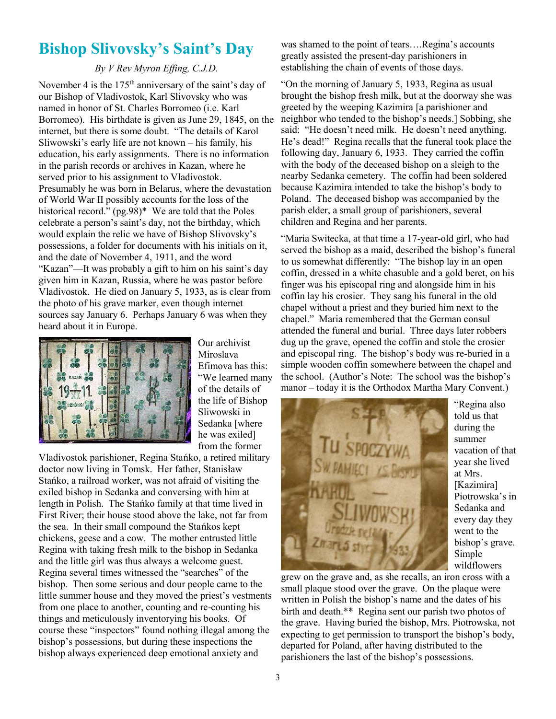### **Bishop Slivovsky's Saint's Day**

#### *By V Rev Myron Effing, C.J.D.*

November 4 is the  $175<sup>th</sup>$  anniversary of the saint's day of our Bishop of Vladivostok, Karl Slivovsky who was named in honor of St. Charles Borromeo (i.e. Karl Borromeo). His birthdate is given as June 29, 1845, on the internet, but there is some doubt. "The details of Karol Sliwowski's early life are not known – his family, his education, his early assignments. There is no information in the parish records or archives in Kazan, where he served prior to his assignment to Vladivostok. Presumably he was born in Belarus, where the devastation of World War II possibly accounts for the loss of the historical record."  $(pg.98)^*$  We are told that the Poles celebrate a person's saint's day, not the birthday, which would explain the relic we have of Bishop Slivovsky's possessions, a folder for documents with his initials on it, and the date of November 4, 1911, and the word "Kazan"—It was probably a gift to him on his saint's day given him in Kazan, Russia, where he was pastor before Vladivostok. He died on January 5, 1933, as is clear from the photo of his grave marker, even though internet sources say January 6. Perhaps January 6 was when they heard about it in Europe.



Our archivist Miroslava Efimova has this: "We learned many of the details of the life of Bishop Sliwowski in Sedanka [where he was exiled] from the former

Vladivostok parishioner, Regina Stańko, a retired military doctor now living in Tomsk. Her father, Stanisław Stańko, a railroad worker, was not afraid of visiting the exiled bishop in Sedanka and conversing with him at length in Polish. The Stańko family at that time lived in First River; their house stood above the lake, not far from the sea. In their small compound the Stańkos kept chickens, geese and a cow. The mother entrusted little Regina with taking fresh milk to the bishop in Sedanka and the little girl was thus always a welcome guest. Regina several times witnessed the "searches" of the bishop. Then some serious and dour people came to the little summer house and they moved the priest's vestments from one place to another, counting and re-counting his things and meticulously inventorying his books. Of course these "inspectors" found nothing illegal among the bishop's possessions, but during these inspections the bishop always experienced deep emotional anxiety and

was shamed to the point of tears….Regina's accounts greatly assisted the present-day parishioners in establishing the chain of events of those days.

"On the morning of January 5, 1933, Regina as usual brought the bishop fresh milk, but at the doorway she was greeted by the weeping Kazimira [a parishioner and neighbor who tended to the bishop's needs.] Sobbing, she said: "He doesn't need milk. He doesn't need anything. He's dead!" Regina recalls that the funeral took place the following day, January 6, 1933. They carried the coffin with the body of the deceased bishop on a sleigh to the nearby Sedanka cemetery. The coffin had been soldered because Kazimira intended to take the bishop's body to Poland. The deceased bishop was accompanied by the parish elder, a small group of parishioners, several children and Regina and her parents.

"Maria Switecka, at that time a 17-year-old girl, who had served the bishop as a maid, described the bishop's funeral to us somewhat differently: "The bishop lay in an open coffin, dressed in a white chasuble and a gold beret, on his finger was his episcopal ring and alongside him in his coffin lay his crosier. They sang his funeral in the old chapel without a priest and they buried him next to the chapel." Maria remembered that the German consul attended the funeral and burial. Three days later robbers dug up the grave, opened the coffin and stole the crosier and episcopal ring. The bishop's body was re-buried in a simple wooden coffin somewhere between the chapel and the school. (Author's Note: The school was the bishop's manor – today it is the Orthodox Martha Mary Convent.)



"Regina also told us that during the summer vacation of that year she lived at Mrs. [Kazimira] Piotrowska's in Sedanka and every day they went to the bishop's grave. Simple wildflowers

grew on the grave and, as she recalls, an iron cross with a small plaque stood over the grave. On the plaque were written in Polish the bishop's name and the dates of his birth and death.\*\* Regina sent our parish two photos of the grave. Having buried the bishop, Mrs. Piotrowska, not expecting to get permission to transport the bishop's body, departed for Poland, after having distributed to the parishioners the last of the bishop's possessions.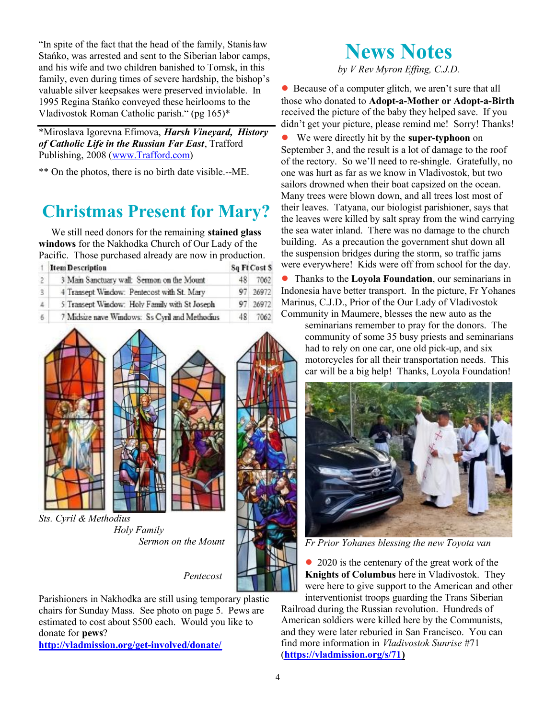"In spite of the fact that the head of the family, Stanisław Stańko, was arrested and sent to the Siberian labor camps, and his wife and two children banished to Tomsk, in this family, even during times of severe hardship, the bishop's valuable silver keepsakes were preserved inviolable. In 1995 Regina Stańko conveyed these heirlooms to the Vladivostok Roman Catholic parish." (pg 165)\*

\*Miroslava Igorevna Efimova, *Harsh Vineyard, History of Catholic Life in the Russian Far East*, Trafford Publishing, 2008 ([www.Trafford.com](http://www.Trafford.com))

\*\* On the photos, there is no birth date visible.--ME.

# **Christmas Present for Mary?**

 We still need donors for the remaining **stained glass windows** for the Nakhodka Church of Our Lady of the Pacific. Those purchased already are now in production.  $\overline{\mathbf{r}}$  Then Because  $\mathbf{r}$ 

|                | <b>HEM DESCRIPTION</b>                         |    | <b>SUITLES</b> |  |
|----------------|------------------------------------------------|----|----------------|--|
| $2^{\circ}$    | 3 Main Sanctuary wall: Sermon on the Mount     | 48 | 7062           |  |
| 3 <sup>1</sup> | 4 Transept Window: Pentecost with St. Mary     |    | 97 26972       |  |
| $\Delta$       | 5 Transept Window: Holy Family with St Joseph  |    | 97 26972       |  |
| 6              | 7 Midsize nave Windows: Ss Cyril and Methodius | 48 | 7062           |  |



*Sts. Cyril & Methodius Holy Family* 

 *Sermon on the Mount* 

 *Pentecost* 

Parishioners in Nakhodka are still using temporary plastic chairs for Sunday Mass. See photo on page 5. Pews are estimated to cost about \$500 each. Would you like to donate for **pews**?

**<http://vladmission.org/get-involved/donate/>**

# **News Notes**

*by V Rev Myron Effing, C.J.D.*

● Because of a computer glitch, we aren't sure that all those who donated to **Adopt-a-Mother or Adopt-a-Birth** received the picture of the baby they helped save. If you didn't get your picture, please remind me! Sorry! Thanks!

We were directly hit by the **super-typhoon** on September 3, and the result is a lot of damage to the roof of the rectory. So we'll need to re-shingle. Gratefully, no one was hurt as far as we know in Vladivostok, but two sailors drowned when their boat capsized on the ocean. Many trees were blown down, and all trees lost most of their leaves. Tatyana, our biologist parishioner, says that the leaves were killed by salt spray from the wind carrying the sea water inland. There was no damage to the church building. As a precaution the government shut down all the suspension bridges during the storm, so traffic jams were everywhere! Kids were off from school for the day.

● Thanks to the **Loyola Foundation**, our seminarians in Indonesia have better transport. In the picture, Fr Yohanes Marinus, C.J.D., Prior of the Our Lady of Vladivostok Community in Maumere, blesses the new auto as the

seminarians remember to pray for the donors. The community of some 35 busy priests and seminarians had to rely on one car, one old pick-up, and six motorcycles for all their transportation needs. This car will be a big help! Thanks, Loyola Foundation!



*Fr Prior Yohanes blessing the new Toyota van* 

● 2020 is the centenary of the great work of the **Knights of Columbus** here in Vladivostok. They were here to give support to the American and other interventionist troops guarding the Trans Siberian

Railroad during the Russian revolution. Hundreds of American soldiers were killed here by the Communists, and they were later reburied in San Francisco. You can find more information in *Vladivostok Sunrise* #71 (**[https://vladmission.org/s/71\)](https://vladmission.org/s/71)**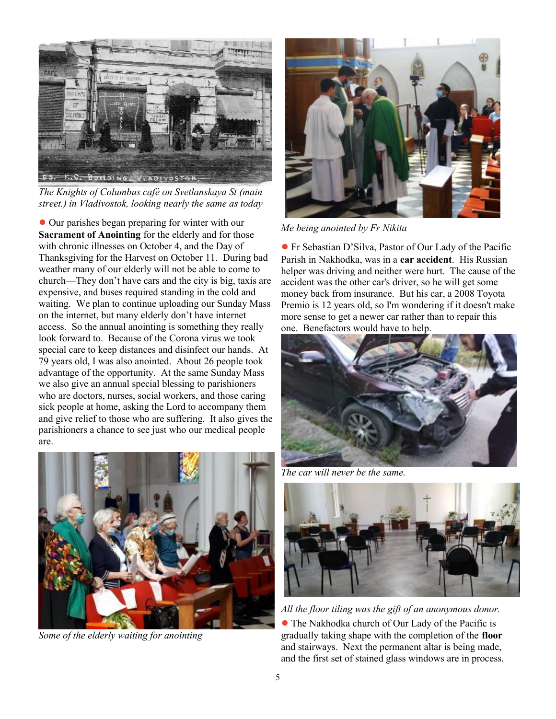

*The Knights of Columbus café on Svetlanskaya St (main street.) in Vladivostok, looking nearly the same as today*

● Our parishes began preparing for winter with our **Sacrament of Anointing** for the elderly and for those with chronic illnesses on October 4, and the Day of Thanksgiving for the Harvest on October 11. During bad weather many of our elderly will not be able to come to church—They don't have cars and the city is big, taxis are expensive, and buses required standing in the cold and waiting. We plan to continue uploading our Sunday Mass on the internet, but many elderly don't have internet access. So the annual anointing is something they really look forward to. Because of the Corona virus we took special care to keep distances and disinfect our hands. At 79 years old, I was also anointed. About 26 people took advantage of the opportunity. At the same Sunday Mass we also give an annual special blessing to parishioners who are doctors, nurses, social workers, and those caring sick people at home, asking the Lord to accompany them and give relief to those who are suffering. It also gives the parishioners a chance to see just who our medical people are.



*Some of the elderly waiting for anointing* 



*Me being anointed by Fr Nikita* 

● Fr Sebastian D'Silva, Pastor of Our Lady of the Pacific Parish in Nakhodka, was in a **car accident**. His Russian helper was driving and neither were hurt. The cause of the accident was the other car's driver, so he will get some money back from insurance. But his car, a 2008 Toyota Premio is 12 years old, so I'm wondering if it doesn't make more sense to get a newer car rather than to repair this one. Benefactors would have to help.



*The car will never be the same.* 



*All the floor tiling was the gift of an anonymous donor.*  ● The Nakhodka church of Our Lady of the Pacific is gradually taking shape with the completion of the **floor**  and stairways. Next the permanent altar is being made, and the first set of stained glass windows are in process.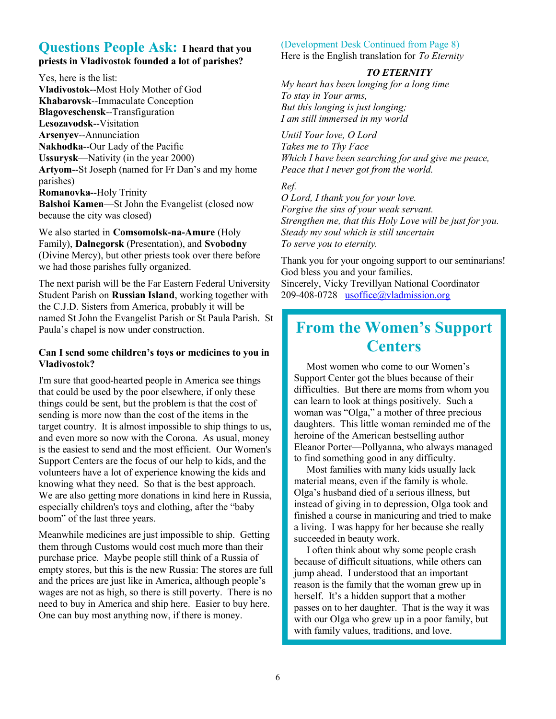### **Questions People Ask: I heard that you priests in Vladivostok founded a lot of parishes?**

Yes, here is the list: **Vladivostok**--Most Holy Mother of God **Khabarovsk**--Immaculate Conception **Blagoveschensk**--Transfiguration **Lesozavodsk**--Visitation **Arsenyev**--Annunciation **Nakhodka**--Our Lady of the Pacific **Ussurysk**—Nativity (in the year 2000) **Artyom**--St Joseph (named for Fr Dan's and my home parishes)

**Romanovka-**-Holy Trinity **Balshoi Kamen**—St John the Evangelist (closed now because the city was closed)

We also started in **Comsomolsk-na-Amure** (Holy Family), **Dalnegorsk** (Presentation), and **Svobodny**  (Divine Mercy), but other priests took over there before we had those parishes fully organized.

The next parish will be the Far Eastern Federal University Student Parish on **Russian Island**, working together with the C.J.D. Sisters from America, probably it will be named St John the Evangelist Parish or St Paula Parish. St Paula's chapel is now under construction.

### **Can I send some children's toys or medicines to you in Vladivostok?**

I'm sure that good-hearted people in America see things that could be used by the poor elsewhere, if only these things could be sent, but the problem is that the cost of sending is more now than the cost of the items in the target country. It is almost impossible to ship things to us, and even more so now with the Corona. As usual, money is the easiest to send and the most efficient. Our Women's Support Centers are the focus of our help to kids, and the volunteers have a lot of experience knowing the kids and knowing what they need. So that is the best approach. We are also getting more donations in kind here in Russia, especially children's toys and clothing, after the "baby boom" of the last three years.

Meanwhile medicines are just impossible to ship. Getting them through Customs would cost much more than their purchase price. Maybe people still think of a Russia of empty stores, but this is the new Russia: The stores are full and the prices are just like in America, although people's wages are not as high, so there is still poverty. There is no need to buy in America and ship here. Easier to buy here. One can buy most anything now, if there is money.

### (Development Desk Continued from Page 8)

Here is the English translation for *To Eternity* 

### *TO ETERNITY*

*My heart has been longing for a long time To stay in Your arms, But this longing is just longing; I am still immersed in my world* 

*Until Your love, O Lord Takes me to Thy Face Which I have been searching for and give me peace, Peace that I never got from the world.* 

*Ref.* 

*O Lord, I thank you for your love. Forgive the sins of your weak servant. Strengthen me, that this Holy Love will be just for you. Steady my soul which is still uncertain To serve you to eternity.* 

Thank you for your ongoing support to our seminarians! God bless you and your families. Sincerely, Vicky Trevillyan National Coordinator 209-408-0728 [usoffice@vladmission.org](mailto:usoffice@vladmission.org)

### **From the Women's Support Centers**

 Most women who come to our Women's Support Center got the blues because of their difficulties. But there are moms from whom you can learn to look at things positively. Such a woman was "Olga," a mother of three precious daughters. This little woman reminded me of the heroine of the American bestselling author Eleanor Porter—Pollyanna, who always managed to find something good in any difficulty.

 Most families with many kids usually lack material means, even if the family is whole. Olga's husband died of a serious illness, but instead of giving in to depression, Olga took and finished a course in manicuring and tried to make a living. I was happy for her because she really succeeded in beauty work.

 I often think about why some people crash because of difficult situations, while others can jump ahead. I understood that an important reason is the family that the woman grew up in herself. It's a hidden support that a mother passes on to her daughter. That is the way it was with our Olga who grew up in a poor family, but with family values, traditions, and love.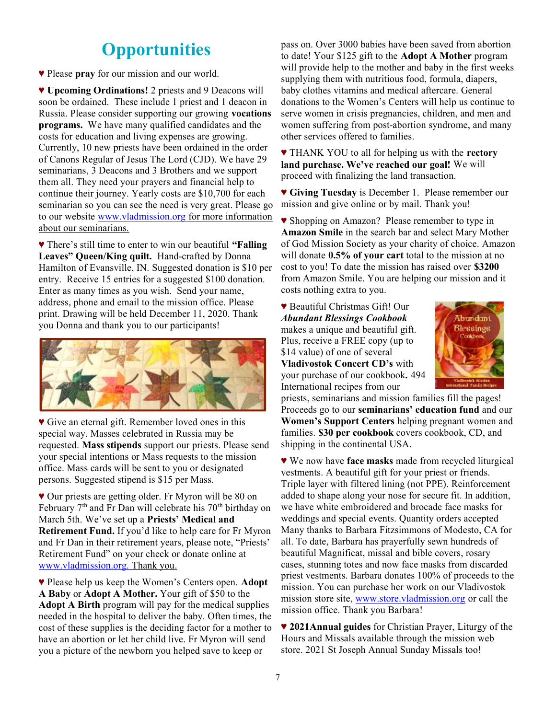### **Opportunities**

♥ Please **pray** for our mission and our world.

♥ **Upcoming Ordinations!** 2 priests and 9 Deacons will soon be ordained. These include 1 priest and 1 deacon in Russia. Please consider supporting our growing **vocations programs.** We have many qualified candidates and the costs for education and living expenses are growing. Currently, 10 new priests have been ordained in the order of Canons Regular of Jesus The Lord (CJD). We have 29 seminarians, 3 Deacons and 3 Brothers and we support them all. They need your prayers and financial help to continue their journey. Yearly costs are \$10,700 for each seminarian so you can see the need is very great. Please go to our website [www.vladmission.org](http://www.vladmission.org) for more information about our seminarians.

♥ There's still time to enter to win our beautiful **"Falling Leaves" Queen/King quilt.** Hand-crafted by Donna Hamilton of Evansville, IN. Suggested donation is \$10 per entry. Receive 15 entries for a suggested \$100 donation. Enter as many times as you wish. Send your name, address, phone and email to the mission office. Please print. Drawing will be held December 11, 2020. Thank you Donna and thank you to our participants!



♥ Give an eternal gift. Remember loved ones in this special way. Masses celebrated in Russia may be requested. **Mass stipends** support our priests. Please send your special intentions or Mass requests to the mission office. Mass cards will be sent to you or designated persons. Suggested stipend is \$15 per Mass.

♥ Our priests are getting older. Fr Myron will be 80 on February 7<sup>th</sup> and Fr Dan will celebrate his 70<sup>th</sup> birthday on March 5th. We've set up a **Priests' Medical and Retirement Fund.** If you'd like to help care for Fr Myron and Fr Dan in their retirement years, please note, "Priests' Retirement Fund" on your check or donate online at [www.vladmission.org.](http://www.vladmission.org) Thank you.

♥ Please help us keep the Women's Centers open. **Adopt A Baby** or **Adopt A Mother.** Your gift of \$50 to the **Adopt A Birth** program will pay for the medical supplies needed in the hospital to deliver the baby. Often times, the cost of these supplies is the deciding factor for a mother to have an abortion or let her child live. Fr Myron will send you a picture of the newborn you helped save to keep or

pass on. Over 3000 babies have been saved from abortion to date! Your \$125 gift to the **Adopt A Mother** program will provide help to the mother and baby in the first weeks supplying them with nutritious food, formula, diapers, baby clothes vitamins and medical aftercare. General donations to the Women's Centers will help us continue to serve women in crisis pregnancies, children, and men and women suffering from post-abortion syndrome, and many other services offered to families.

♥ THANK YOU to all for helping us with the **rectory land purchase. We've reached our goal!** We will proceed with finalizing the land transaction.

♥ **Giving Tuesday** is December 1. Please remember our mission and give online or by mail. Thank you!

♥ Shopping on Amazon? Please remember to type in **Amazon Smile** in the search bar and select Mary Mother of God Mission Society as your charity of choice. Amazon will donate **0.5% of your cart** total to the mission at no cost to you! To date the mission has raised over **\$3200**  from Amazon Smile. You are helping our mission and it costs nothing extra to you.

♥ Beautiful Christmas Gift! Our *Abundant Blessings Cookbook* makes a unique and beautiful gift. Plus, receive a FREE copy (up to \$14 value) of one of several **Vladivostok Concert CD's** with your purchase of our cookbook*.* 494 International recipes from our



priests, seminarians and mission families fill the pages! Proceeds go to our **seminarians' education fund** and our **Women's Support Centers** helping pregnant women and families. **\$30 per cookbook** covers cookbook, CD, and shipping in the continental USA.

♥ We now have **face masks** made from recycled liturgical vestments. A beautiful gift for your priest or friends. Triple layer with filtered lining (not PPE). Reinforcement added to shape along your nose for secure fit. In addition, we have white embroidered and brocade face masks for weddings and special events. Quantity orders accepted Many thanks to Barbara Fitzsimmons of Modesto, CA for all. To date, Barbara has prayerfully sewn hundreds of beautiful Magnificat, missal and bible covers, rosary cases, stunning totes and now face masks from discarded priest vestments. Barbara donates 100% of proceeds to the mission. You can purchase her work on our Vladivostok mission store site, [www.store.vladmission.org](http://www.store.vladmission.org) or call the mission office. Thank you Barbara!

♥ **2021Annual guides** for Christian Prayer, Liturgy of the Hours and Missals available through the mission web store. 2021 St Joseph Annual Sunday Missals too!